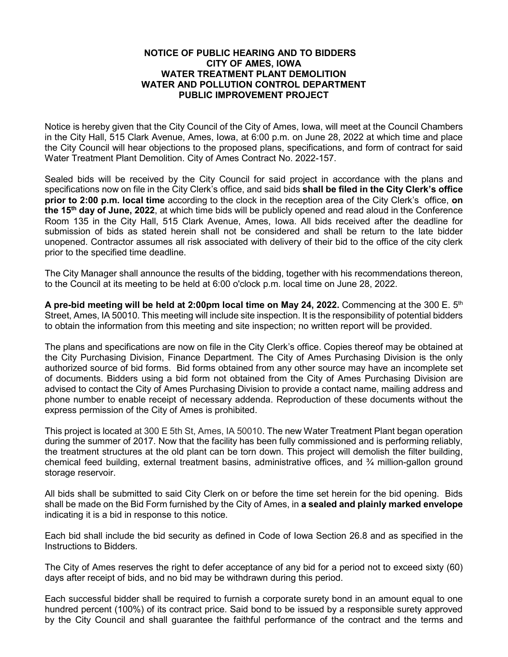## **NOTICE OF PUBLIC HEARING AND TO BIDDERS CITY OF AMES, IOWA WATER TREATMENT PLANT DEMOLITION WATER AND POLLUTION CONTROL DEPARTMENT PUBLIC IMPROVEMENT PROJECT**

Notice is hereby given that the City Council of the City of Ames, Iowa, will meet at the Council Chambers in the City Hall, 515 Clark Avenue, Ames, Iowa, at 6:00 p.m. on June 28, 2022 at which time and place the City Council will hear objections to the proposed plans, specifications, and form of contract for said Water Treatment Plant Demolition. City of Ames Contract No. 2022-157.

Sealed bids will be received by the City Council for said project in accordance with the plans and specifications now on file in the City Clerk's office, and said bids **shall be filed in the City Clerk's office prior to 2:00 p.m. local time** according to the clock in the reception area of the City Clerk's office, **on the 15th day of June, 2022**, at which time bids will be publicly opened and read aloud in the Conference Room 135 in the City Hall, 515 Clark Avenue, Ames, Iowa. All bids received after the deadline for submission of bids as stated herein shall not be considered and shall be return to the late bidder unopened. Contractor assumes all risk associated with delivery of their bid to the office of the city clerk prior to the specified time deadline.

The City Manager shall announce the results of the bidding, together with his recommendations thereon, to the Council at its meeting to be held at 6:00 o'clock p.m. local time on June 28, 2022.

**A pre-bid meeting will be held at 2:00pm local time on May 24, 2022.** Commencing at the 300 E. 5th Street, Ames, IA 50010. This meeting will include site inspection. It is the responsibility of potential bidders to obtain the information from this meeting and site inspection; no written report will be provided.

The plans and specifications are now on file in the City Clerk's office. Copies thereof may be obtained at the City Purchasing Division, Finance Department. The City of Ames Purchasing Division is the only authorized source of bid forms. Bid forms obtained from any other source may have an incomplete set of documents. Bidders using a bid form not obtained from the City of Ames Purchasing Division are advised to contact the City of Ames Purchasing Division to provide a contact name, mailing address and phone number to enable receipt of necessary addenda. Reproduction of these documents without the express permission of the City of Ames is prohibited.

This project is located at 300 E 5th St, Ames, IA 50010. The new Water Treatment Plant began operation during the summer of 2017. Now that the facility has been fully commissioned and is performing reliably, the treatment structures at the old plant can be torn down. This project will demolish the filter building, chemical feed building, external treatment basins, administrative offices, and  $\frac{3}{4}$  million-gallon ground storage reservoir.

All bids shall be submitted to said City Clerk on or before the time set herein for the bid opening. Bids shall be made on the Bid Form furnished by the City of Ames, in **a sealed and plainly marked envelope** indicating it is a bid in response to this notice.

Each bid shall include the bid security as defined in Code of Iowa Section 26.8 and as specified in the Instructions to Bidders.

The City of Ames reserves the right to defer acceptance of any bid for a period not to exceed sixty (60) days after receipt of bids, and no bid may be withdrawn during this period.

Each successful bidder shall be required to furnish a corporate surety bond in an amount equal to one hundred percent (100%) of its contract price. Said bond to be issued by a responsible surety approved by the City Council and shall guarantee the faithful performance of the contract and the terms and